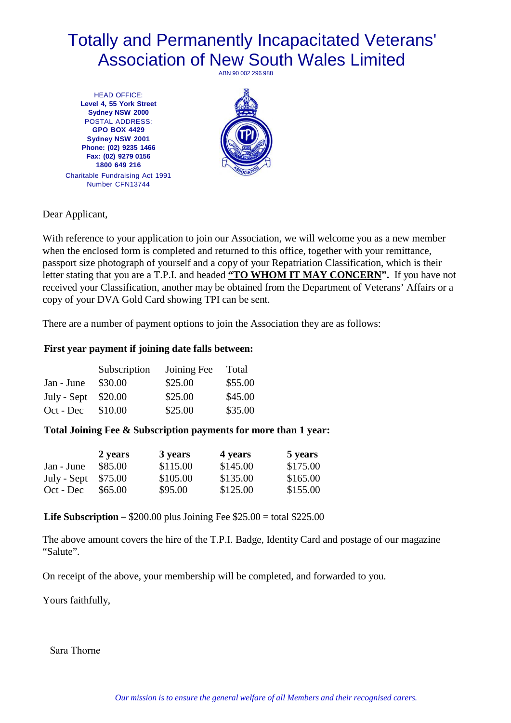# Totally and Permanently Incapacitated Veterans' Association of New South Wales Limited ABN 90 002 296 988

HEAD OFFICE: **Level 4, 55 York Street Sydney NSW 2000**  POSTAL ADDRESS: **GPO BOX 4429 Sydney NSW 2001 Phone: (02) 9235 1466 Fax: (02) 9279 0156 1800 649 216** Charitable Fundraising Act 1991 Number CFN13744



Dear Applicant,

With reference to your application to join our Association, we will welcome you as a new member when the enclosed form is completed and returned to this office, together with your remittance, passport size photograph of yourself and a copy of your Repatriation Classification, which is their letter stating that you are a T.P.I. and headed **"TO WHOM IT MAY CONCERN".** If you have not received your Classification, another may be obtained from the Department of Veterans' Affairs or a copy of your DVA Gold Card showing TPI can be sent.

There are a number of payment options to join the Association they are as follows:

## **First year payment if joining date falls between:**

|                      | Subscription | Joining Fee | Total   |  |  |
|----------------------|--------------|-------------|---------|--|--|
| Jan - June           | \$30.00      | \$25.00     | \$55.00 |  |  |
| July - Sept $$20.00$ |              | \$25.00     | \$45.00 |  |  |
| Oct - Dec            | \$10.00      | \$25.00     | \$35.00 |  |  |

## **Total Joining Fee & Subscription payments for more than 1 year:**

|                      | 2 years | 3 years  | 4 years  | 5 years  |
|----------------------|---------|----------|----------|----------|
| Jan - June           | \$85.00 | \$115.00 | \$145.00 | \$175.00 |
| July - Sept $$75.00$ |         | \$105.00 | \$135.00 | \$165.00 |
| Oct - Dec            | \$65.00 | \$95.00  | \$125.00 | \$155.00 |

**Life Subscription** – \$200.00 plus Joining Fee \$25.00 = total \$225.00

The above amount covers the hire of the T.P.I. Badge, Identity Card and postage of our magazine "Salute".

On receipt of the above, your membership will be completed, and forwarded to you.

Yours faithfully,

Sara Thorne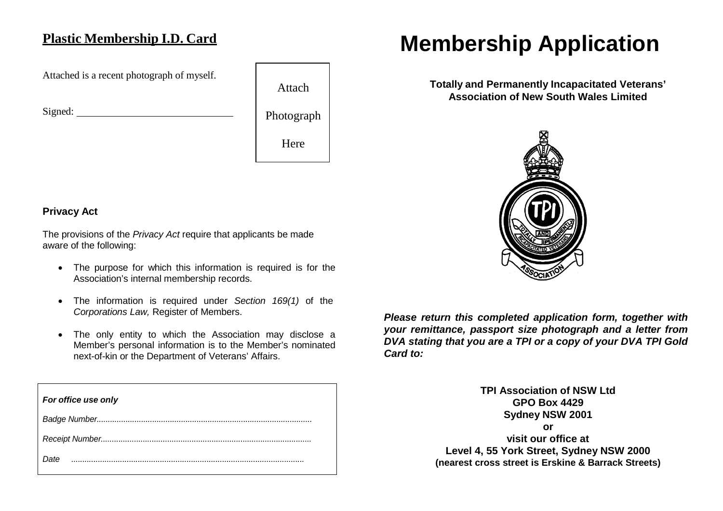# **Plastic Membership I.D. Card**

Attached is a recent photograph of myself.

Signed:



# **Privacy Act**

The provisions of the *Privacy Act* require that applicants be made aware of the following:

- The purpose for which this information is required is for the Association's internal membership records.
- The information is required under *Section 169(1)* of the *Corporations Law,* Register of Members.
- The only entity to which the Association may disclose a Member's personal information is to the Member's nominated next-of-kin or the Department of Veterans' Affairs.

| For office use only |
|---------------------|
|                     |
|                     |
| Date                |

# **Membership Application**

**Totally and Permanently Incapacitated Veterans' Association of New South Wales Limited**



*Please return this completed application form, together with your remittance, passport size photograph and a letter from DVA stating that you are a TPI or a copy of your DVA TPI Gold Card to:*

> **TPI Association of NSW Ltd GPO Box 4429 Sydney NSW 2001 or visit our office at Level 4, 55 York Street, Sydney NSW 2000 (nearest cross street is Erskine & Barrack Streets)**